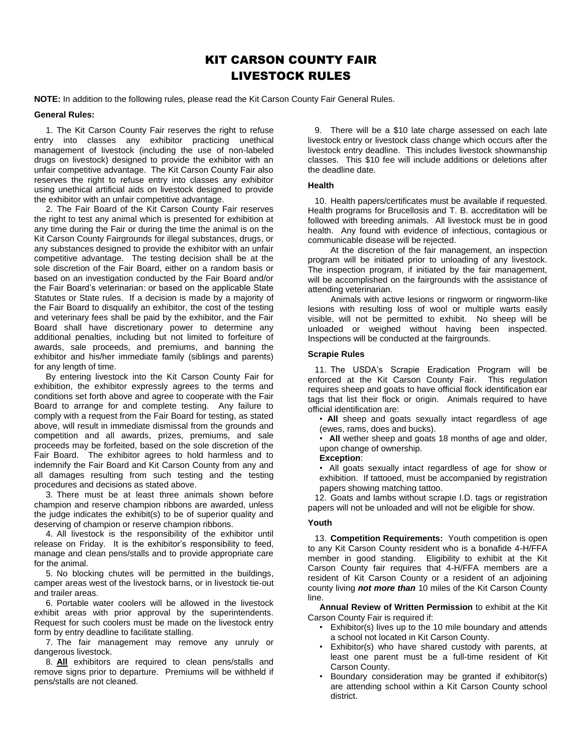# KIT CARSON COUNTY FAIR LIVESTOCK RULES

**NOTE:** In addition to the following rules, please read the Kit Carson County Fair General Rules.

## **General Rules:**

1. The Kit Carson County Fair reserves the right to refuse entry into classes any exhibitor practicing unethical management of livestock (including the use of non-labeled drugs on livestock) designed to provide the exhibitor with an unfair competitive advantage. The Kit Carson County Fair also reserves the right to refuse entry into classes any exhibitor using unethical artificial aids on livestock designed to provide the exhibitor with an unfair competitive advantage.

2. The Fair Board of the Kit Carson County Fair reserves the right to test any animal which is presented for exhibition at any time during the Fair or during the time the animal is on the Kit Carson County Fairgrounds for illegal substances, drugs, or any substances designed to provide the exhibitor with an unfair competitive advantage. The testing decision shall be at the sole discretion of the Fair Board, either on a random basis or based on an investigation conducted by the Fair Board and/or the Fair Board's veterinarian: or based on the applicable State Statutes or State rules. If a decision is made by a majority of the Fair Board to disqualify an exhibitor, the cost of the testing and veterinary fees shall be paid by the exhibitor, and the Fair Board shall have discretionary power to determine any additional penalties, including but not limited to forfeiture of awards, sale proceeds, and premiums, and banning the exhibitor and his/her immediate family (siblings and parents) for any length of time.

By entering livestock into the Kit Carson County Fair for exhibition, the exhibitor expressly agrees to the terms and conditions set forth above and agree to cooperate with the Fair Board to arrange for and complete testing. Any failure to comply with a request from the Fair Board for testing, as stated above, will result in immediate dismissal from the grounds and competition and all awards, prizes, premiums, and sale proceeds may be forfeited, based on the sole discretion of the Fair Board. The exhibitor agrees to hold harmless and to indemnify the Fair Board and Kit Carson County from any and all damages resulting from such testing and the testing procedures and decisions as stated above.

3. There must be at least three animals shown before champion and reserve champion ribbons are awarded, unless the judge indicates the exhibit(s) to be of superior quality and deserving of champion or reserve champion ribbons.

4. All livestock is the responsibility of the exhibitor until release on Friday. It is the exhibitor's responsibility to feed, manage and clean pens/stalls and to provide appropriate care for the animal.

5. No blocking chutes will be permitted in the buildings, camper areas west of the livestock barns, or in livestock tie-out and trailer areas.

6. Portable water coolers will be allowed in the livestock exhibit areas with prior approval by the superintendents. Request for such coolers must be made on the livestock entry form by entry deadline to facilitate stalling.

7. The fair management may remove any unruly or dangerous livestock.

8. **All** exhibitors are required to clean pens/stalls and remove signs prior to departure. Premiums will be withheld if pens/stalls are not cleaned.

9. There will be a \$10 late charge assessed on each late livestock entry or livestock class change which occurs after the livestock entry deadline. This includes livestock showmanship classes. This \$10 fee will include additions or deletions after the deadline date.

# **Health**

10. Health papers/certificates must be available if requested. Health programs for Brucellosis and T. B. accreditation will be followed with breeding animals. All livestock must be in good health. Any found with evidence of infectious, contagious or communicable disease will be rejected.

At the discretion of the fair management, an inspection program will be initiated prior to unloading of any livestock. The inspection program, if initiated by the fair management, will be accomplished on the fairgrounds with the assistance of attending veterinarian.

Animals with active lesions or ringworm or ringworm-like lesions with resulting loss of wool or multiple warts easily visible, will not be permitted to exhibit. No sheep will be unloaded or weighed without having been inspected. Inspections will be conducted at the fairgrounds.

## **Scrapie Rules**

11. The USDA's Scrapie Eradication Program will be enforced at the Kit Carson County Fair. This regulation requires sheep and goats to have official flock identification ear tags that list their flock or origin. Animals required to have official identification are:

• **All** sheep and goats sexually intact regardless of age (ewes, rams, does and bucks).

• **All** wether sheep and goats 18 months of age and older, upon change of ownership.

#### **Exception**:

• All goats sexually intact regardless of age for show or exhibition. If tattooed, must be accompanied by registration papers showing matching tattoo.

12. Goats and lambs without scrapie I.D. tags or registration papers will not be unloaded and will not be eligible for show.

# **Youth**

13. **Competition Requirements:** Youth competition is open to any Kit Carson County resident who is a bonafide 4-H/FFA member in good standing. Eligibility to exhibit at the Kit Carson County fair requires that 4-H/FFA members are a resident of Kit Carson County or a resident of an adjoining county living *not more than* 10 miles of the Kit Carson County line.

**Annual Review of Written Permission** to exhibit at the Kit Carson County Fair is required if:

- Exhibitor(s) lives up to the 10 mile boundary and attends a school not located in Kit Carson County.
- Exhibitor(s) who have shared custody with parents, at least one parent must be a full-time resident of Kit Carson County.
- Boundary consideration may be granted if exhibitor(s) are attending school within a Kit Carson County school district.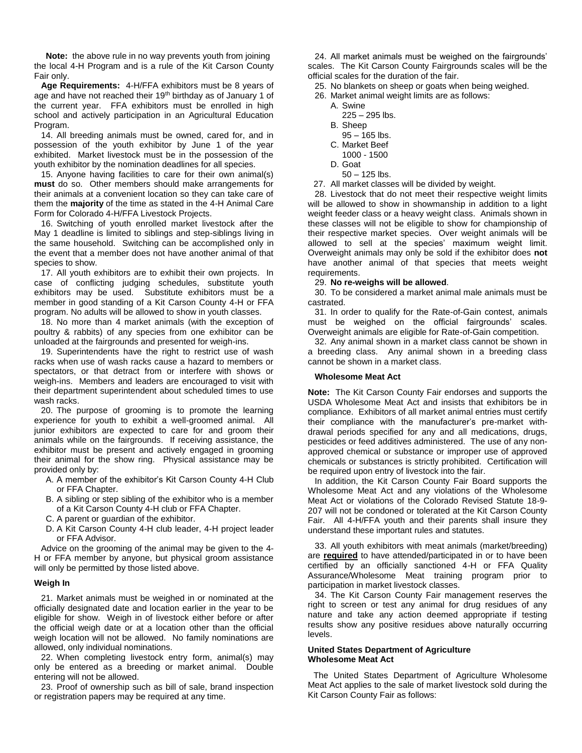**Note:** the above rule in no way prevents youth from joining the local 4-H Program and is a rule of the Kit Carson County Fair only.

**Age Requirements:** 4-H/FFA exhibitors must be 8 years of age and have not reached their 19<sup>th</sup> birthday as of January 1 of the current year. FFA exhibitors must be enrolled in high school and actively participation in an Agricultural Education Program.

14. All breeding animals must be owned, cared for, and in possession of the youth exhibitor by June 1 of the year exhibited. Market livestock must be in the possession of the youth exhibitor by the nomination deadlines for all species.

15. Anyone having facilities to care for their own animal(s) **must** do so. Other members should make arrangements for their animals at a convenient location so they can take care of them the **majority** of the time as stated in the 4-H Animal Care Form for Colorado 4-H/FFA Livestock Projects.

16. Switching of youth enrolled market livestock after the May 1 deadline is limited to siblings and step-siblings living in the same household. Switching can be accomplished only in the event that a member does not have another animal of that species to show.

17. All youth exhibitors are to exhibit their own projects. In case of conflicting judging schedules, substitute youth exhibitors may be used. Substitute exhibitors must be a member in good standing of a Kit Carson County 4-H or FFA program. No adults will be allowed to show in youth classes.

18. No more than 4 market animals (with the exception of poultry & rabbits) of any species from one exhibitor can be unloaded at the fairgrounds and presented for weigh-ins.

19. Superintendents have the right to restrict use of wash racks when use of wash racks cause a hazard to members or spectators, or that detract from or interfere with shows or weigh-ins. Members and leaders are encouraged to visit with their department superintendent about scheduled times to use wash racks.

20. The purpose of grooming is to promote the learning experience for youth to exhibit a well-groomed animal. All junior exhibitors are expected to care for and groom their animals while on the fairgrounds. If receiving assistance, the exhibitor must be present and actively engaged in grooming their animal for the show ring. Physical assistance may be provided only by:

- A. A member of the exhibitor's Kit Carson County 4-H Club or FFA Chapter.
- B. A sibling or step sibling of the exhibitor who is a member of a Kit Carson County 4-H club or FFA Chapter.
- C. A parent or guardian of the exhibitor.
- D. A Kit Carson County 4-H club leader, 4-H project leader or FFA Advisor.

Advice on the grooming of the animal may be given to the 4- H or FFA member by anyone, but physical groom assistance will only be permitted by those listed above.

# **Weigh In**

21. Market animals must be weighed in or nominated at the officially designated date and location earlier in the year to be eligible for show. Weigh in of livestock either before or after the official weigh date or at a location other than the official weigh location will not be allowed. No family nominations are allowed, only individual nominations.

22. When completing livestock entry form, animal(s) may only be entered as a breeding or market animal. Double entering will not be allowed.

23. Proof of ownership such as bill of sale, brand inspection or registration papers may be required at any time.

24. All market animals must be weighed on the fairgrounds' scales. The Kit Carson County Fairgrounds scales will be the official scales for the duration of the fair.

25. No blankets on sheep or goats when being weighed.

- 26. Market animal weight limits are as follows:
	- A. Swine
		- 225 295 lbs.
	- B. Sheep
		- 95 165 lbs.
	- C. Market Beef
	- 1000 1500 D. Goat
	- 50 125 lbs.
- 27. All market classes will be divided by weight.

28. Livestock that do not meet their respective weight limits will be allowed to show in showmanship in addition to a light weight feeder class or a heavy weight class. Animals shown in these classes will not be eligible to show for championship of their respective market species. Over weight animals will be allowed to sell at the species' maximum weight limit. Overweight animals may only be sold if the exhibitor does **not** have another animal of that species that meets weight requirements.

#### 29. **No re-weighs will be allowed**.

30. To be considered a market animal male animals must be castrated.

31. In order to qualify for the Rate-of-Gain contest, animals must be weighed on the official fairgrounds' scales. Overweight animals are eligible for Rate-of-Gain competition.

32. Any animal shown in a market class cannot be shown in a breeding class. Any animal shown in a breeding class cannot be shown in a market class.

#### **Wholesome Meat Act**

**Note:** The Kit Carson County Fair endorses and supports the USDA Wholesome Meat Act and insists that exhibitors be in compliance. Exhibitors of all market animal entries must certify their compliance with the manufacturer's pre-market withdrawal periods specified for any and all medications, drugs, pesticides or feed additives administered. The use of any nonapproved chemical or substance or improper use of approved chemicals or substances is strictly prohibited. Certification will be required upon entry of livestock into the fair.

In addition, the Kit Carson County Fair Board supports the Wholesome Meat Act and any violations of the Wholesome Meat Act or violations of the Colorado Revised Statute 18-9- 207 will not be condoned or tolerated at the Kit Carson County Fair. All 4-H/FFA youth and their parents shall insure they understand these important rules and statutes.

33. All youth exhibitors with meat animals (market/breeding) are **required** to have attended/participated in or to have been certified by an officially sanctioned 4-H or FFA Quality Assurance/Wholesome Meat training program prior to participation in market livestock classes.

34. The Kit Carson County Fair management reserves the right to screen or test any animal for drug residues of any nature and take any action deemed appropriate if testing results show any positive residues above naturally occurring levels.

## **United States Department of Agriculture Wholesome Meat Act**

The United States Department of Agriculture Wholesome Meat Act applies to the sale of market livestock sold during the Kit Carson County Fair as follows: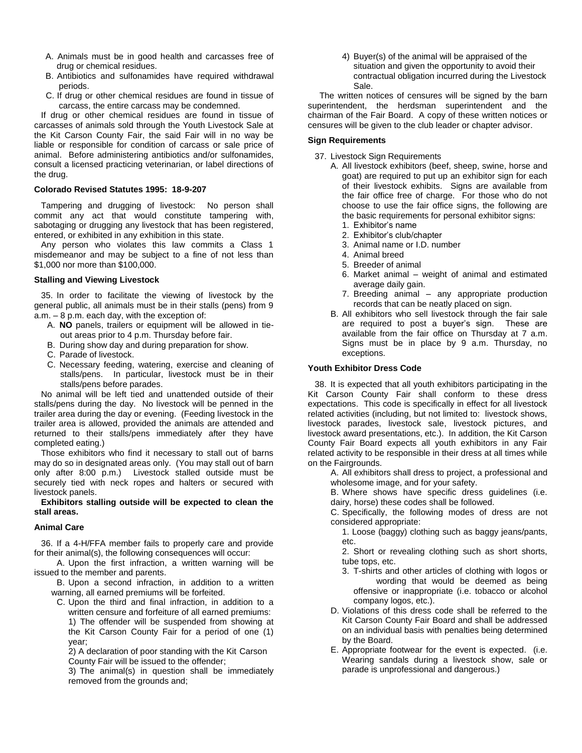- A. Animals must be in good health and carcasses free of drug or chemical residues.
- B. Antibiotics and sulfonamides have required withdrawal periods.
- C. If drug or other chemical residues are found in tissue of carcass, the entire carcass may be condemned.

If drug or other chemical residues are found in tissue of carcasses of animals sold through the Youth Livestock Sale at the Kit Carson County Fair, the said Fair will in no way be liable or responsible for condition of carcass or sale price of animal. Before administering antibiotics and/or sulfonamides, consult a licensed practicing veterinarian, or label directions of the drug.

#### **Colorado Revised Statutes 1995: 18-9-207**

Tampering and drugging of livestock: No person shall commit any act that would constitute tampering with, sabotaging or drugging any livestock that has been registered, entered, or exhibited in any exhibition in this state.

Any person who violates this law commits a Class 1 misdemeanor and may be subject to a fine of not less than \$1,000 nor more than \$100,000.

## **Stalling and Viewing Livestock**

35. In order to facilitate the viewing of livestock by the general public, all animals must be in their stalls (pens) from 9 a.m. – 8 p.m. each day, with the exception of:

- A. **NO** panels, trailers or equipment will be allowed in tieout areas prior to 4 p.m. Thursday before fair.
- B. During show day and during preparation for show.
- C. Parade of livestock.
- C. Necessary feeding, watering, exercise and cleaning of stalls/pens. In particular, livestock must be in their stalls/pens before parades.

No animal will be left tied and unattended outside of their stalls/pens during the day. No livestock will be penned in the trailer area during the day or evening. (Feeding livestock in the trailer area is allowed, provided the animals are attended and returned to their stalls/pens immediately after they have completed eating.)

Those exhibitors who find it necessary to stall out of barns may do so in designated areas only. (You may stall out of barn only after 8:00 p.m.) Livestock stalled outside must be securely tied with neck ropes and halters or secured with livestock panels.

## **Exhibitors stalling outside will be expected to clean the stall areas.**

## **Animal Care**

36. If a 4-H/FFA member fails to properly care and provide for their animal(s), the following consequences will occur:

A. Upon the first infraction, a written warning will be issued to the member and parents.

B. Upon a second infraction, in addition to a written warning, all earned premiums will be forfeited.

C. Upon the third and final infraction, in addition to a written censure and forfeiture of all earned premiums: 1) The offender will be suspended from showing at the Kit Carson County Fair for a period of one (1) year;

2) A declaration of poor standing with the Kit Carson County Fair will be issued to the offender;

3) The animal(s) in question shall be immediately removed from the grounds and;

4) Buyer(s) of the animal will be appraised of the situation and given the opportunity to avoid their contractual obligation incurred during the Livestock Sale.

The written notices of censures will be signed by the barn superintendent, the herdsman superintendent and the chairman of the Fair Board. A copy of these written notices or censures will be given to the club leader or chapter advisor.

## **Sign Requirements**

- 37. Livestock Sign Requirements
	- A. All livestock exhibitors (beef, sheep, swine, horse and goat) are required to put up an exhibitor sign for each of their livestock exhibits. Signs are available from the fair office free of charge. For those who do not choose to use the fair office signs, the following are the basic requirements for personal exhibitor signs:
		- 1. Exhibitor's name
		- 2. Exhibitor's club/chapter
		- 3. Animal name or I.D. number
		- 4. Animal breed
		- 5. Breeder of animal
		- 6. Market animal weight of animal and estimated average daily gain.
		- 7. Breeding animal any appropriate production records that can be neatly placed on sign.
	- B. All exhibitors who sell livestock through the fair sale are required to post a buyer's sign. These are available from the fair office on Thursday at 7 a.m. Signs must be in place by 9 a.m. Thursday, no exceptions.

## **Youth Exhibitor Dress Code**

38. It is expected that all youth exhibitors participating in the Kit Carson County Fair shall conform to these dress expectations. This code is specifically in effect for all livestock related activities (including, but not limited to: livestock shows, livestock parades, livestock sale, livestock pictures, and livestock award presentations, etc.). In addition, the Kit Carson County Fair Board expects all youth exhibitors in any Fair related activity to be responsible in their dress at all times while on the Fairgrounds.

A. All exhibitors shall dress to project, a professional and wholesome image, and for your safety.

B. Where shows have specific dress guidelines (i.e. dairy, horse) these codes shall be followed.

C. Specifically, the following modes of dress are not considered appropriate:

1. Loose (baggy) clothing such as baggy jeans/pants, etc.

2. Short or revealing clothing such as short shorts, tube tops, etc.

- 3. T-shirts and other articles of clothing with logos or wording that would be deemed as being offensive or inappropriate (i.e. tobacco or alcohol company logos, etc.).
- D. Violations of this dress code shall be referred to the Kit Carson County Fair Board and shall be addressed on an individual basis with penalties being determined by the Board.
- E. Appropriate footwear for the event is expected. (i.e. Wearing sandals during a livestock show, sale or parade is unprofessional and dangerous.)